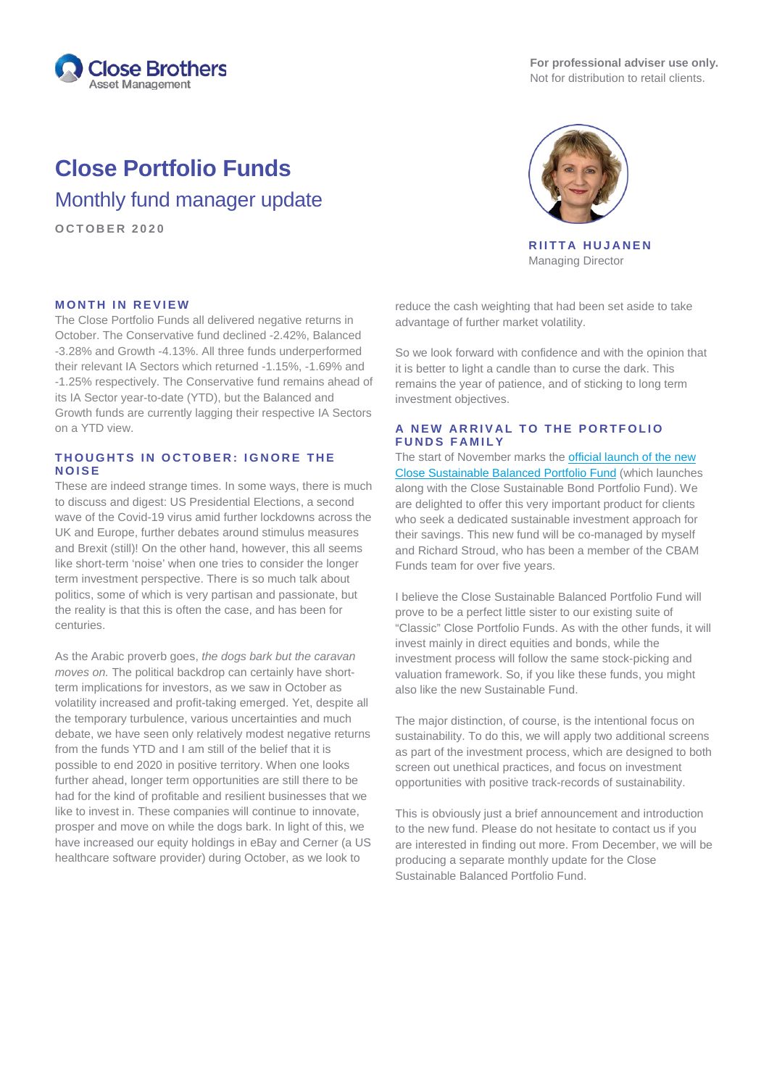

**For professional adviser use only.** Not for distribution to retail clients.

# **Close Portfolio Funds**

Monthly fund manager update

**OCTOBER 2020**



**RIITTA HUJANEN** Managing Director

## **MONTH IN REVIEW**

The Close Portfolio Funds all delivered negative returns in October. The Conservative fund declined -2.42%, Balanced -3.28% and Growth -4.13%. All three funds underperformed their relevant IA Sectors which returned -1.15%, -1.69% and -1.25% respectively. The Conservative fund remains ahead of its IA Sector year-to-date (YTD), but the Balanced and Growth funds are currently lagging their respective IA Sectors on a YTD view.

## **THOUGHTS IN OCTOBER: IGNOR E THE NOISE**

These are indeed strange times. In some ways, there is much to discuss and digest: US Presidential Elections, a second wave of the Covid-19 virus amid further lockdowns across the UK and Europe, further debates around stimulus measures and Brexit (still)! On the other hand, however, this all seems like short-term 'noise' when one tries to consider the longer term investment perspective. There is so much talk about politics, some of which is very partisan and passionate, but the reality is that this is often the case, and has been for centuries.

As the Arabic proverb goes, *the dogs bark but the caravan moves on.* The political backdrop can certainly have shortterm implications for investors, as we saw in October as volatility increased and profit-taking emerged. Yet, despite all the temporary turbulence, various uncertainties and much debate, we have seen only relatively modest negative returns from the funds YTD and I am still of the belief that it is possible to end 2020 in positive territory. When one looks further ahead, longer term opportunities are still there to be had for the kind of profitable and resilient businesses that we like to invest in. These companies will continue to innovate, prosper and move on while the dogs bark. In light of this, we have increased our equity holdings in eBay and Cerner (a US healthcare software provider) during October, as we look to

reduce the cash weighting that had been set aside to take advantage of further market volatility.

So we look forward with confidence and with the opinion that it is better to light a candle than to curse the dark. This remains the year of patience, and of sticking to long term investment objectives.

#### **A NEW ARRIVAL TO THE PORTFOLIO FUNDS FAMILY**

The start of November marks the [official launch of](https://www.closebrothersam.com/for-financial-advisers/news-and-insights/now-available-the-close-sustainable-funds/) the new [Close Sustainable](https://www.closebrothersam.com/for-financial-advisers/news-and-insights/now-available-the-close-sustainable-funds/) Balanced Portfolio Fund (which launches along with the Close Sustainable Bond Portfolio Fund). We are delighted to offer this very important product for clients who seek a dedicated sustainable investment approach for their savings. This new fund will be co-managed by myself and Richard Stroud, who has been a member of the CBAM Funds team for over five years.

I believe the Close Sustainable Balanced Portfolio Fund will prove to be a perfect little sister to our existing suite of "Classic" Close Portfolio Funds. As with the other funds, it will invest mainly in direct equities and bonds, while the investment process will follow the same stock-picking and valuation framework. So, if you like these funds, you might also like the new Sustainable Fund.

The major distinction, of course, is the intentional focus on sustainability. To do this, we will apply two additional screens as part of the investment process, which are designed to both screen out unethical practices, and focus on investment opportunities with positive track-records of sustainability.

This is obviously just a brief announcement and introduction to the new fund. Please do not hesitate to contact us if you are interested in finding out more. From December, we will be producing a separate monthly update for the Close Sustainable Balanced Portfolio Fund.